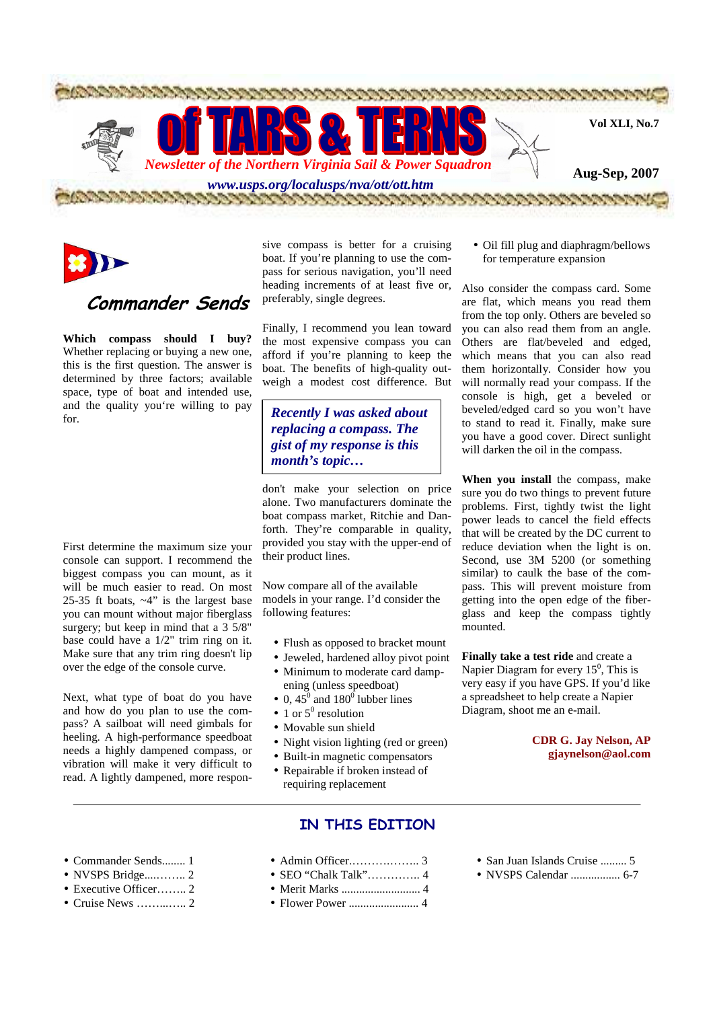



# **Commander Sends**

**Which compass should I buy?**  Whether replacing or buying a new one, this is the first question. The answer is determined by three factors; available space, type of boat and intended use, and the quality you're willing to pay for.

First determine the maximum size your console can support. I recommend the biggest compass you can mount, as it will be much easier to read. On most 25-35 ft boats,  $\neg 4"$  is the largest base you can mount without major fiberglass surgery; but keep in mind that a  $3\overline{5}/8$ " base could have a 1/2" trim ring on it. Make sure that any trim ring doesn't lip over the edge of the console curve.

Next, what type of boat do you have and how do you plan to use the compass? A sailboat will need gimbals for heeling. A high-performance speedboat needs a highly dampened compass, or vibration will make it very difficult to read. A lightly dampened, more respon-

sive compass is better for a cruising boat. If you're planning to use the compass for serious navigation, you'll need heading increments of at least five or, preferably, single degrees.

Finally, I recommend you lean toward the most expensive compass you can afford if you're planning to keep the boat. The benefits of high-quality outweigh a modest cost difference. But

*Recently I was asked about replacing a compass. The gist of my response is this month's topic…*

don't make your selection on price alone. Two manufacturers dominate the boat compass market, Ritchie and Danforth. They're comparable in quality, provided you stay with the upper-end of their product lines.

Now compare all of the available models in your range. I'd consider the following features:

- Flush as opposed to bracket mount
- Jeweled, hardened alloy pivot point
- Minimum to moderate card dampening (unless speedboat)
- 0,  $45^{\circ}$  and  $180^{\circ}$  lubber lines
- 1 or  $5^0$  resolution
- Movable sun shield
- Night vision lighting (red or green)
- Built-in magnetic compensators
- Repairable if broken instead of requiring replacement
	- **IN THIS EDITION**
- Admin Officer.……….…….. 3
- Commander Sends........ 1 • NVSPS Bridge....…….. 2
- 
- Executive Officer…….. 2
- Cruise News ……...….. 2
- 
- Merit Marks ........................... 4
- Flower Power ........................ 4
- San Juan Islands Cruise ......... 5
- NVSPS Calendar ................. 6-7

• Oil fill plug and diaphragm/bellows for temperature expansion

Also consider the compass card. Some are flat, which means you read them from the top only. Others are beveled so you can also read them from an angle. Others are flat/beveled and edged, which means that you can also read them horizontally. Consider how you will normally read your compass. If the console is high, get a beveled or beveled/edged card so you won't have to stand to read it. Finally, make sure you have a good cover. Direct sunlight will darken the oil in the compass.

**When you install** the compass, make sure you do two things to prevent future problems. First, tightly twist the light power leads to cancel the field effects that will be created by the DC current to reduce deviation when the light is on. Second, use 3M 5200 (or something similar) to caulk the base of the compass. This will prevent moisture from getting into the open edge of the fiberglass and keep the compass tightly mounted.

**Finally take a test ride** and create a Napier Diagram for every  $15<sup>0</sup>$ , This is very easy if you have GPS. If you'd like a spreadsheet to help create a Napier Diagram, shoot me an e-mail.

### **CDR G. Jay Nelson, AP gjaynelson@aol.com**

• SEO "Chalk Talk"………….. 4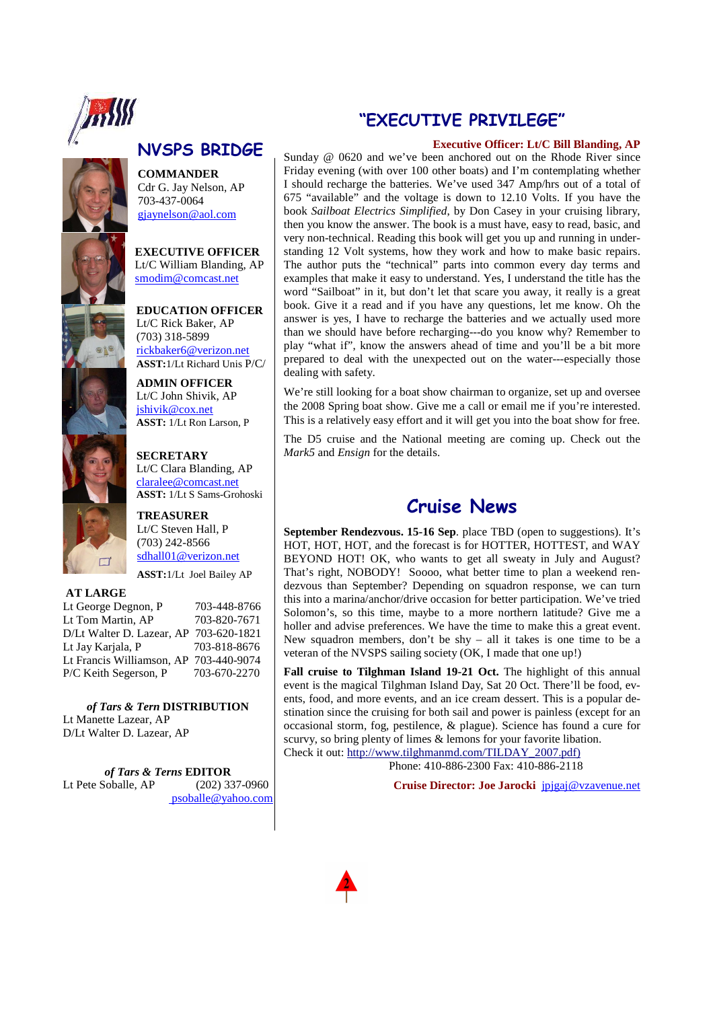

# **NVSPS BRIDGE**

**COMMANDER**  Cdr G. Jay Nelson, AP 703-437-0064 gjaynelson@aol.com

**EXECUTIVE OFFICER**  Lt/C William Blanding, AP smodim@comcast.net

**EDUCATION OFFICER**  Lt/C Rick Baker, AP (703) 318-5899 rickbaker6@verizon.net **ASST:**1/Lt Richard Unis P/C/

**ADMIN OFFICER**  Lt/C John Shivik, AP jshivik@cox.net **ASST:** 1/Lt Ron Larson, P

**SECRETARY** 



claralee@comcast.net **ASST:** 1/Lt S Sams-Grohoski **TREASURER**

Lt/C Clara Blanding, AP

Lt/C Steven Hall, P (703) 242-8566 sdhall01@verizon.net

**ASST:**1/Lt Joel Bailey AP

### **AT LARGE**

Lt George Degnon, P 703-448-8766 Lt Tom Martin, AP 703-820-7671 D/Lt Walter D. Lazear, AP 703-620-1821 Lt Jay Karjala, P 703-818-8676 Lt Francis Williamson, AP 703-440-9074 P/C Keith Segerson, P 703-670-2270

*of Tars & Tern* **DISTRIBUTION**  Lt Manette Lazear, AP D/Lt Walter D. Lazear, AP

*of Tars & Terns* **EDITOR**  (202) 337-0960 psoballe@yahoo.com

# **"EXECUTIVE PRIVILEGE"**

### **Executive Officer: Lt/C Bill Blanding, AP**

Sunday @ 0620 and we've been anchored out on the Rhode River since Friday evening (with over 100 other boats) and I'm contemplating whether I should recharge the batteries. We've used 347 Amp/hrs out of a total of 675 "available" and the voltage is down to 12.10 Volts. If you have the book *Sailboat Electrics Simplified*, by Don Casey in your cruising library, then you know the answer. The book is a must have, easy to read, basic, and very non-technical. Reading this book will get you up and running in understanding 12 Volt systems, how they work and how to make basic repairs. The author puts the "technical" parts into common every day terms and examples that make it easy to understand. Yes, I understand the title has the word "Sailboat" in it, but don't let that scare you away, it really is a great book. Give it a read and if you have any questions, let me know. Oh the answer is yes, I have to recharge the batteries and we actually used more than we should have before recharging---do you know why? Remember to play "what if", know the answers ahead of time and you'll be a bit more prepared to deal with the unexpected out on the water---especially those dealing with safety.

We're still looking for a boat show chairman to organize, set up and oversee the 2008 Spring boat show. Give me a call or email me if you're interested. This is a relatively easy effort and it will get you into the boat show for free.

The D5 cruise and the National meeting are coming up. Check out the *Mark5* and *Ensign* for the details.

## **Cruise News**

**September Rendezvous. 15-16 Sep**. place TBD (open to suggestions). It's HOT, HOT, HOT, and the forecast is for HOTTER, HOTTEST, and WAY BEYOND HOT! OK, who wants to get all sweaty in July and August? That's right, NOBODY! Soooo, what better time to plan a weekend rendezvous than September? Depending on squadron response, we can turn this into a marina/anchor/drive occasion for better participation. We've tried Solomon's, so this time, maybe to a more northern latitude? Give me a holler and advise preferences. We have the time to make this a great event. New squadron members, don't be shy – all it takes is one time to be a veteran of the NVSPS sailing society (OK, I made that one up!)

**Fall cruise to Tilghman Island 19-21 Oct.** The highlight of this annual event is the magical Tilghman Island Day, Sat 20 Oct. There'll be food, events, food, and more events, and an ice cream dessert. This is a popular destination since the cruising for both sail and power is painless (except for an occasional storm, fog, pestilence, & plague). Science has found a cure for scurvy, so bring plenty of limes & lemons for your favorite libation. Check it out: http://www.tilghmanmd.com/TILDAY\_2007.pdf)

Phone: 410-886-2300 Fax: 410-886-2118

**Cruise Director: Joe Jarocki** jpjgaj@vzavenue.net

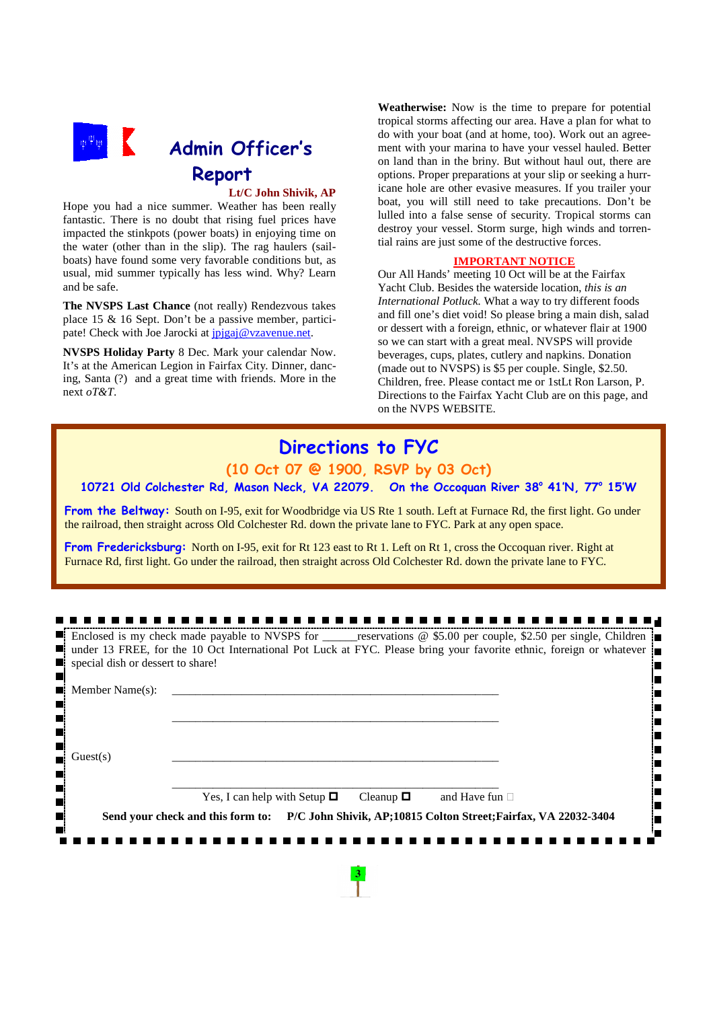

## **Lt/C John Shivik, AP**

Hope you had a nice summer. Weather has been really fantastic. There is no doubt that rising fuel prices have impacted the stinkpots (power boats) in enjoying time on the water (other than in the slip). The rag haulers (sailboats) have found some very favorable conditions but, as usual, mid summer typically has less wind. Why? Learn and be safe.

**The NVSPS Last Chance** (not really) Rendezvous takes place 15 & 16 Sept. Don't be a passive member, participate! Check with Joe Jarocki at jpjgaj@vzavenue.net.

**NVSPS Holiday Party** 8 Dec. Mark your calendar Now. It's at the American Legion in Fairfax City. Dinner, dancing, Santa (?) and a great time with friends. More in the next *oT&T*.

**Weatherwise:** Now is the time to prepare for potential tropical storms affecting our area. Have a plan for what to do with your boat (and at home, too). Work out an agreement with your marina to have your vessel hauled. Better on land than in the briny. But without haul out, there are options. Proper preparations at your slip or seeking a hurricane hole are other evasive measures. If you trailer your boat, you will still need to take precautions. Don't be lulled into a false sense of security. Tropical storms can destroy your vessel. Storm surge, high winds and torrential rains are just some of the destructive forces.

### **IMPORTANT NOTICE**

Our All Hands' meeting 10 Oct will be at the Fairfax Yacht Club. Besides the waterside location, *this is an International Potluck.* What a way to try different foods and fill one's diet void! So please bring a main dish, salad or dessert with a foreign, ethnic, or whatever flair at 1900 so we can start with a great meal. NVSPS will provide beverages, cups, plates, cutlery and napkins. Donation (made out to NVSPS) is \$5 per couple. Single, \$2.50. Children, free. Please contact me or 1stLt Ron Larson, P. Directions to the Fairfax Yacht Club are on this page, and on the NVPS WEBSITE.

# **Directions to FYC**

## **(10 Oct 07 @ 1900, RSVP by 03 Oct)**

## **10721 Old Colchester Rd, Mason Neck, VA 22079. On the Occoquan River 38<sup>o</sup> 41'N, 77<sup>o</sup> 15'W**

**From the Beltway:** South on I-95, exit for Woodbridge via US Rte 1 south. Left at Furnace Rd, the first light. Go under the railroad, then straight across Old Colchester Rd. down the private lane to FYC. Park at any open space.

**From Fredericksburg:** North on I-95, exit for Rt 123 east to Rt 1. Left on Rt 1, cross the Occoquan river. Right at Furnace Rd, first light. Go under the railroad, then straight across Old Colchester Rd. down the private lane to FYC.

|                                  | Enclosed is my check made payable to NVSPS for ______reservations @ \$5.00 per couple, \$2.50 per single, Children                 |  |  |  |  |
|----------------------------------|------------------------------------------------------------------------------------------------------------------------------------|--|--|--|--|
|                                  | $\blacksquare$ under 13 FREE, for the 10 Oct International Pot Luck at FYC. Please bring your favorite ethnic, foreign or whatever |  |  |  |  |
|                                  | $\Box$ special dish or dessert to share!                                                                                           |  |  |  |  |
| п                                |                                                                                                                                    |  |  |  |  |
|                                  | $\blacksquare$ Member Name(s):                                                                                                     |  |  |  |  |
| $\blacksquare$<br>$\blacksquare$ |                                                                                                                                    |  |  |  |  |
|                                  |                                                                                                                                    |  |  |  |  |
| $\blacksquare$                   |                                                                                                                                    |  |  |  |  |
| Guest(s)<br>n                    |                                                                                                                                    |  |  |  |  |
| П                                |                                                                                                                                    |  |  |  |  |
| $\blacksquare$                   |                                                                                                                                    |  |  |  |  |
| $\blacksquare$                   | Yes, I can help with Setup $\Box$<br>Cleanup $\Box$<br>and Have fun $\Box$                                                         |  |  |  |  |
| $\blacksquare$                   | Send your check and this form to: P/C John Shivik, AP;10815 Colton Street; Fairfax, VA 22032-3404                                  |  |  |  |  |
| П                                |                                                                                                                                    |  |  |  |  |
|                                  |                                                                                                                                    |  |  |  |  |
|                                  |                                                                                                                                    |  |  |  |  |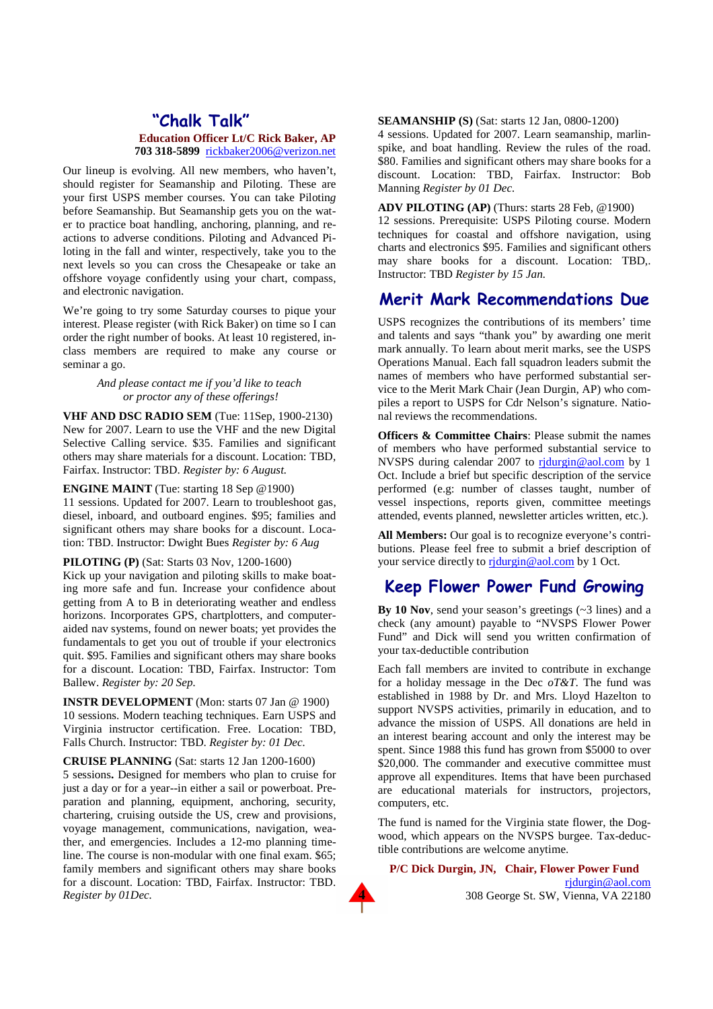## **"Chalk Talk" Education Officer Lt/C Rick Baker, AP 703 318-5899** rickbaker2006@verizon.net

Our lineup is evolving. All new members, who haven't, should register for Seamanship and Piloting. These are your first USPS member courses. You can take Pilotin*g* before Seamanship. But Seamanship gets you on the water to practice boat handling, anchoring, planning, and reactions to adverse conditions. Piloting and Advanced Piloting in the fall and winter, respectively, take you to the next levels so you can cross the Chesapeake or take an offshore voyage confidently using your chart, compass, and electronic navigation.

We're going to try some Saturday courses to pique your interest. Please register (with Rick Baker) on time so I can order the right number of books. At least 10 registered, inclass members are required to make any course or seminar a go.

### *And please contact me if you'd like to teach or proctor any of these offerings!*

**VHF AND DSC RADIO SEM** (Tue: 11Sep, 1900-2130) New for 2007. Learn to use the VHF and the new Digital Selective Calling service. \$35. Families and significant others may share materials for a discount. Location: TBD, Fairfax. Instructor: TBD. *Register by: 6 August.*

**ENGINE MAINT** (Tue: starting 18 Sep @1900) 11 sessions. Updated for 2007. Learn to troubleshoot gas, diesel, inboard, and outboard engines. \$95; families and significant others may share books for a discount. Location: TBD. Instructor: Dwight Bues *Register by: 6 Aug* 

### **PILOTING (P)** (Sat: Starts 03 Nov, 1200-1600)

Kick up your navigation and piloting skills to make boating more safe and fun. Increase your confidence about getting from A to B in deteriorating weather and endless horizons. Incorporates GPS, chartplotters, and computeraided nav systems, found on newer boats; yet provides the fundamentals to get you out of trouble if your electronics quit. \$95. Families and significant others may share books for a discount. Location: TBD, Fairfax. Instructor: Tom Ballew. *Register by: 20 Sep.*

**INSTR DEVELOPMENT** (Mon: starts 07 Jan @ 1900) 10 sessions. Modern teaching techniques. Earn USPS and Virginia instructor certification. Free. Location: TBD, Falls Church. Instructor: TBD. *Register by: 01 Dec.*

**CRUISE PLANNING** (Sat: starts 12 Jan 1200-1600) 5 sessions**.** Designed for members who plan to cruise for just a day or for a year--in either a sail or powerboat. Preparation and planning, equipment, anchoring, security, chartering, cruising outside the US, crew and provisions, voyage management, communications, navigation, weather, and emergencies. Includes a 12-mo planning timeline. The course is non-modular with one final exam. \$65; family members and significant others may share books for a discount. Location: TBD, Fairfax. Instructor: TBD. *Register by 01Dec.*

#### **SEAMANSHIP (S)** (Sat: starts 12 Jan, 0800-1200)

4 sessions. Updated for 2007. Learn seamanship, marlinspike, and boat handling. Review the rules of the road. \$80. Families and significant others may share books for a discount. Location: TBD, Fairfax. Instructor: Bob Manning *Register by 01 Dec.* 

**ADV PILOTING (AP)** (Thurs: starts 28 Feb, @1900) 12 sessions. Prerequisite: USPS Piloting course. Modern techniques for coastal and offshore navigation, using charts and electronics \$95. Families and significant others may share books for a discount. Location: TBD,. Instructor: TBD *Register by 15 Jan.*

## **Merit Mark Recommendations Due**

USPS recognizes the contributions of its members' time and talents and says "thank you" by awarding one merit mark annually. To learn about merit marks, see the USPS Operations Manual. Each fall squadron leaders submit the names of members who have performed substantial service to the Merit Mark Chair (Jean Durgin, AP) who compiles a report to USPS for Cdr Nelson's signature. National reviews the recommendations.

**Officers & Committee Chairs: Please submit the names** of members who have performed substantial service to NVSPS during calendar 2007 to ridurgin@aol.com by 1 Oct. Include a brief but specific description of the service performed (e.g: number of classes taught, number of vessel inspections, reports given, committee meetings attended, events planned, newsletter articles written, etc.).

**All Members:** Our goal is to recognize everyone's contributions. Please feel free to submit a brief description of your service directly to rjdurgin@aol.com by 1 Oct.

## **Keep Flower Power Fund Growing**

**By 10 Nov**, send your season's greetings (~3 lines) and a check (any amount) payable to "NVSPS Flower Power Fund" and Dick will send you written confirmation of your tax-deductible contribution

Each fall members are invited to contribute in exchange for a holiday message in the Dec *oT&T*. The fund was established in 1988 by Dr. and Mrs. Lloyd Hazelton to support NVSPS activities, primarily in education, and to advance the mission of USPS. All donations are held in an interest bearing account and only the interest may be spent. Since 1988 this fund has grown from \$5000 to over \$20,000. The commander and executive committee must approve all expenditures. Items that have been purchased are educational materials for instructors, projectors, computers, etc.

The fund is named for the Virginia state flower, the Dogwood, which appears on the NVSPS burgee. Tax-deductible contributions are welcome anytime.

**P/C Dick Durgin, JN, Chair, Flower Power Fund**  rjdurgin@aol.com



308 George St. SW, Vienna, VA 22180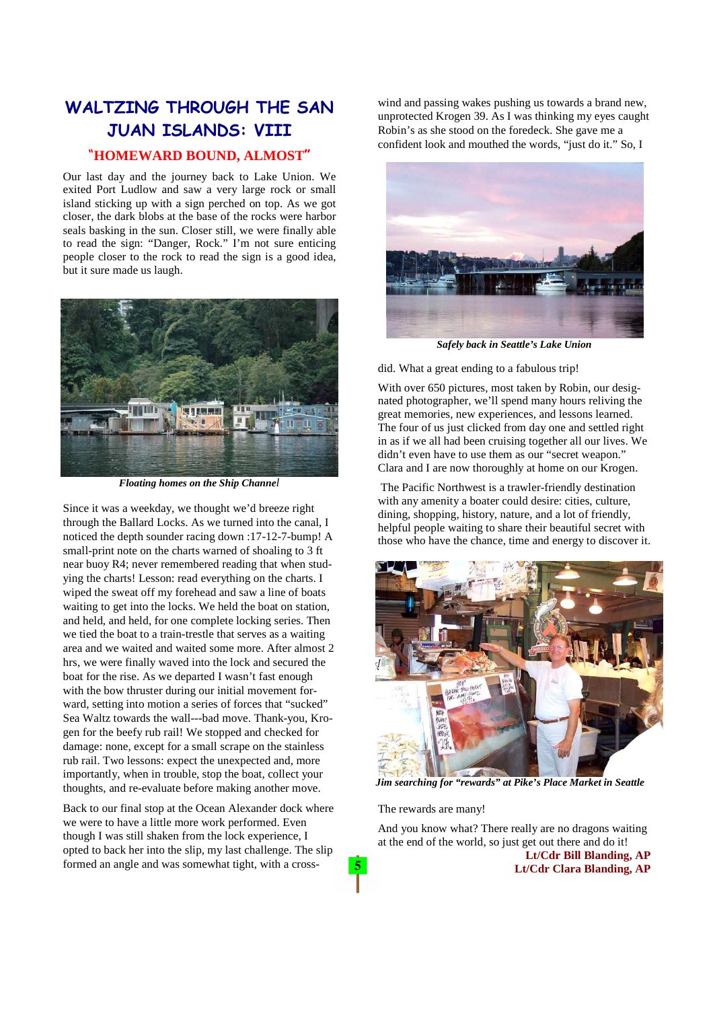## **WALTZING THROUGH THE SAN JUAN ISLANDS: VIII**

## "**HOMEWARD BOUND, ALMOST"**

Our last day and the journey back to Lake Union. We exited Port Ludlow and saw a very large rock or small island sticking up with a sign perched on top. As we got closer, the dark blobs at the base of the rocks were harbor seals basking in the sun. Closer still, we were finally able to read the sign: "Danger, Rock." I'm not sure enticing people closer to the rock to read the sign is a good idea, but it sure made us laugh.



*Floating homes on the Ship Channel* 

Since it was a weekday, we thought we'd breeze right through the Ballard Locks. As we turned into the canal, I noticed the depth sounder racing down :17-12-7-bump! A small-print note on the charts warned of shoaling to 3 ft near buoy R4; never remembered reading that when studying the charts! Lesson: read everything on the charts. I wiped the sweat off my forehead and saw a line of boats waiting to get into the locks. We held the boat on station, and held, and held, for one complete locking series. Then we tied the boat to a train-trestle that serves as a waiting area and we waited and waited some more. After almost 2 hrs, we were finally waved into the lock and secured the boat for the rise. As we departed I wasn't fast enough with the bow thruster during our initial movement forward, setting into motion a series of forces that "sucked" Sea Waltz towards the wall---bad move. Thank-you, Krogen for the beefy rub rail! We stopped and checked for damage: none, except for a small scrape on the stainless rub rail. Two lessons: expect the unexpected and, more importantly, when in trouble, stop the boat, collect your thoughts, and re-evaluate before making another move.

Back to our final stop at the Ocean Alexander dock where we were to have a little more work performed. Even though I was still shaken from the lock experience, I opted to back her into the slip, my last challenge. The slip formed an angle and was somewhat tight, with a crosswind and passing wakes pushing us towards a brand new, unprotected Krogen 39. As I was thinking my eyes caught Robin's as she stood on the foredeck. She gave me a confident look and mouthed the words, "just do it." So, I



*Safely back in Seattle's Lake Union* 

did. What a great ending to a fabulous trip!

With over 650 pictures, most taken by Robin, our designated photographer, we'll spend many hours reliving the great memories, new experiences, and lessons learned. The four of us just clicked from day one and settled right in as if we all had been cruising together all our lives. We didn't even have to use them as our "secret weapon." Clara and I are now thoroughly at home on our Krogen.

 The Pacific Northwest is a trawler-friendly destination with any amenity a boater could desire: cities, culture, dining, shopping, history, nature, and a lot of friendly, helpful people waiting to share their beautiful secret with those who have the chance, time and energy to discover it.



*Jim searching for "rewards" at Pike's Place Market in Seattle* 

The rewards are many!

 $5<sup>5</sup>$ 

And you know what? There really are no dragons waiting at the end of the world, so just get out there and do it!

 **Lt/Cdr Bill Blanding, AP Lt/Cdr Clara Blanding, AP**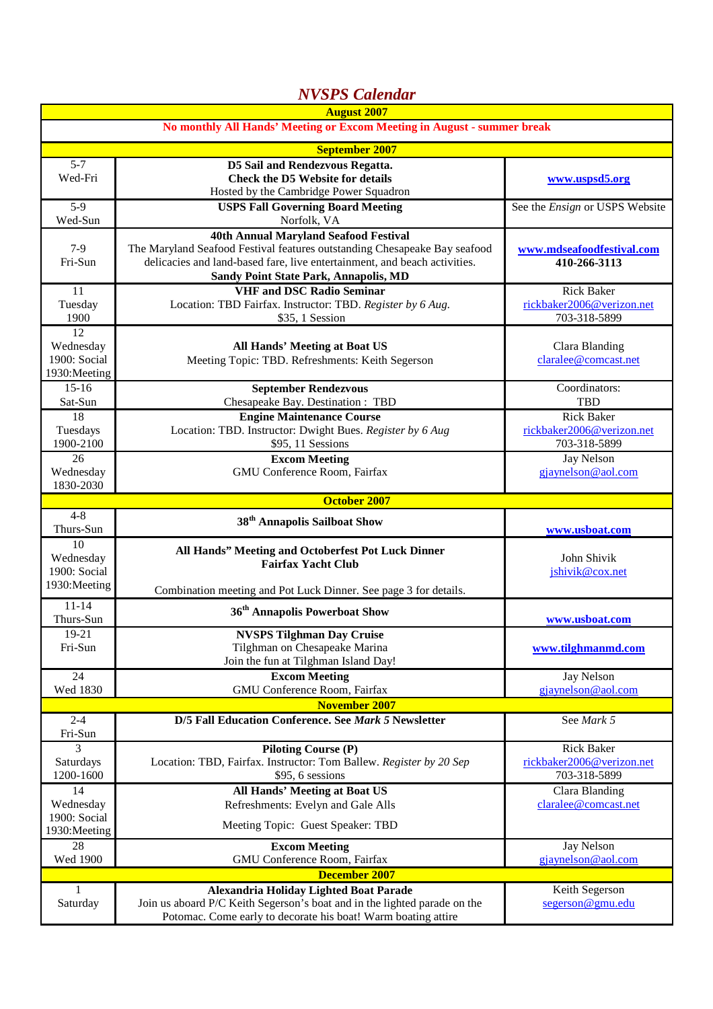| <b>NVSPS</b> Calendar                                                   |                                                                                                                                                                                                                                                 |                                                                |  |  |
|-------------------------------------------------------------------------|-------------------------------------------------------------------------------------------------------------------------------------------------------------------------------------------------------------------------------------------------|----------------------------------------------------------------|--|--|
| <b>August 2007</b>                                                      |                                                                                                                                                                                                                                                 |                                                                |  |  |
| No monthly All Hands' Meeting or Excom Meeting in August - summer break |                                                                                                                                                                                                                                                 |                                                                |  |  |
| <b>September 2007</b>                                                   |                                                                                                                                                                                                                                                 |                                                                |  |  |
| $5 - 7$<br>Wed-Fri                                                      | D5 Sail and Rendezvous Regatta.<br><b>Check the D5 Website for details</b><br>Hosted by the Cambridge Power Squadron                                                                                                                            | www.uspsd5.org                                                 |  |  |
| $5-9$<br>Wed-Sun                                                        | <b>USPS Fall Governing Board Meeting</b><br>Norfolk, VA                                                                                                                                                                                         | See the <i>Ensign</i> or USPS Website                          |  |  |
| $7-9$<br>Fri-Sun                                                        | <b>40th Annual Maryland Seafood Festival</b><br>The Maryland Seafood Festival features outstanding Chesapeake Bay seafood<br>delicacies and land-based fare, live entertainment, and beach activities.<br>Sandy Point State Park, Annapolis, MD | www.mdseafoodfestival.com<br>410-266-3113                      |  |  |
| 11<br>Tuesday<br>1900                                                   | <b>VHF</b> and DSC Radio Seminar<br>Location: TBD Fairfax. Instructor: TBD. Register by 6 Aug.<br>\$35, 1 Session                                                                                                                               | <b>Rick Baker</b><br>rickbaker2006@verizon.net<br>703-318-5899 |  |  |
| 12<br>Wednesday<br>1900: Social<br>1930: Meeting                        | <b>All Hands' Meeting at Boat US</b><br>Meeting Topic: TBD. Refreshments: Keith Segerson                                                                                                                                                        | Clara Blanding<br>claralee@comcast.net                         |  |  |
| $15 - 16$<br>Sat-Sun                                                    | <b>September Rendezvous</b><br>Chesapeake Bay. Destination: TBD                                                                                                                                                                                 | Coordinators:<br><b>TBD</b>                                    |  |  |
| 18<br>Tuesdays<br>1900-2100                                             | <b>Engine Maintenance Course</b><br>Location: TBD. Instructor: Dwight Bues. Register by 6 Aug<br>\$95, 11 Sessions                                                                                                                              | <b>Rick Baker</b><br>rickbaker2006@verizon.net<br>703-318-5899 |  |  |
| 26<br>Wednesday<br>1830-2030                                            | <b>Excom Meeting</b><br>GMU Conference Room, Fairfax                                                                                                                                                                                            | Jay Nelson<br>gjaynelson@aol.com                               |  |  |
| <b>October 2007</b>                                                     |                                                                                                                                                                                                                                                 |                                                                |  |  |
|                                                                         |                                                                                                                                                                                                                                                 |                                                                |  |  |
| $4 - 8$<br>Thurs-Sun                                                    | 38 <sup>th</sup> Annapolis Sailboat Show                                                                                                                                                                                                        | www.usboat.com                                                 |  |  |
| 10<br>Wednesday<br>1900: Social                                         | All Hands" Meeting and Octoberfest Pot Luck Dinner<br><b>Fairfax Yacht Club</b>                                                                                                                                                                 | John Shivik<br>jshivik@cox.net                                 |  |  |
| 1930: Meeting<br>$11 - 14$                                              | Combination meeting and Pot Luck Dinner. See page 3 for details.                                                                                                                                                                                |                                                                |  |  |
| Thurs-Sun                                                               | 36 <sup>th</sup> Annapolis Powerboat Show                                                                                                                                                                                                       | www.usboat.com                                                 |  |  |
| 19-21<br>Fri-Sun                                                        | <b>NVSPS Tilghman Day Cruise</b><br>Tilghman on Chesapeake Marina<br>Join the fun at Tilghman Island Day!                                                                                                                                       | www.tilghmanmd.com                                             |  |  |
| 24                                                                      | <b>Excom Meeting</b>                                                                                                                                                                                                                            | Jay Nelson                                                     |  |  |
| Wed 1830                                                                | GMU Conference Room, Fairfax<br><b>November 2007</b>                                                                                                                                                                                            | gjaynelson@aol.com                                             |  |  |
| $2 - 4$<br>Fri-Sun                                                      | D/5 Fall Education Conference. See Mark 5 Newsletter                                                                                                                                                                                            | See Mark 5                                                     |  |  |
| 3<br>Saturdays<br>1200-1600                                             | <b>Piloting Course (P)</b><br>Location: TBD, Fairfax. Instructor: Tom Ballew. Register by 20 Sep<br>\$95, 6 sessions                                                                                                                            | <b>Rick Baker</b><br>rickbaker2006@verizon.net<br>703-318-5899 |  |  |
| 14<br>Wednesday<br>1900: Social                                         | <b>All Hands' Meeting at Boat US</b><br>Refreshments: Evelyn and Gale Alls                                                                                                                                                                      | Clara Blanding<br>claralee@comcast.net                         |  |  |
| 1930: Meeting<br>28                                                     | Meeting Topic: Guest Speaker: TBD<br><b>Excom Meeting</b>                                                                                                                                                                                       | Jay Nelson                                                     |  |  |
| Wed 1900                                                                | GMU Conference Room, Fairfax<br><b>December 2007</b>                                                                                                                                                                                            | gjaynelson@aol.com                                             |  |  |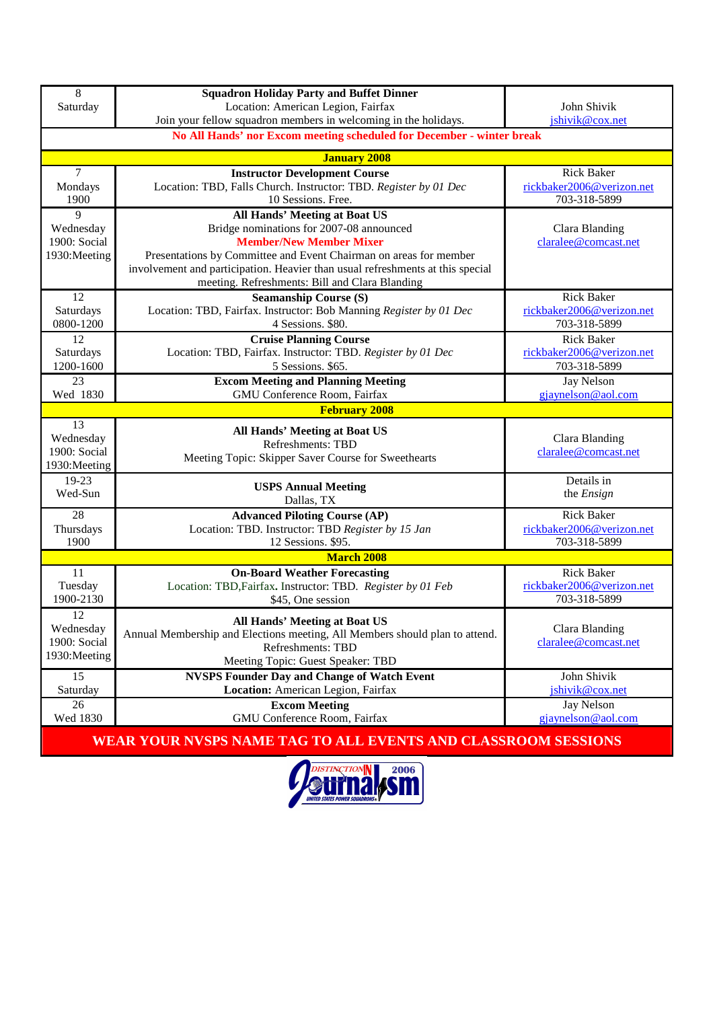| Join your fellow squadron members in welcoming in the holidays.                                            | John Shivik                                    |  |  |  |
|------------------------------------------------------------------------------------------------------------|------------------------------------------------|--|--|--|
|                                                                                                            | jshivik@cox.net                                |  |  |  |
| No All Hands' nor Excom meeting scheduled for December - winter break                                      |                                                |  |  |  |
| <b>January 2008</b>                                                                                        |                                                |  |  |  |
| $\tau$<br><b>Instructor Development Course</b>                                                             | <b>Rick Baker</b>                              |  |  |  |
| Location: TBD, Falls Church. Instructor: TBD. Register by 01 Dec<br>Mondays<br>10 Sessions. Free.          | rickbaker2006@verizon.net<br>703-318-5899      |  |  |  |
| 1900<br>9<br><b>All Hands' Meeting at Boat US</b>                                                          |                                                |  |  |  |
| Bridge nominations for 2007-08 announced<br>Wednesday                                                      | Clara Blanding                                 |  |  |  |
| 1900: Social<br><b>Member/New Member Mixer</b>                                                             | claralee@comcast.net                           |  |  |  |
| 1930: Meeting<br>Presentations by Committee and Event Chairman on areas for member                         |                                                |  |  |  |
| involvement and participation. Heavier than usual refreshments at this special                             |                                                |  |  |  |
| meeting. Refreshments: Bill and Clara Blanding                                                             |                                                |  |  |  |
| 12<br><b>Seamanship Course (S)</b>                                                                         | <b>Rick Baker</b>                              |  |  |  |
| Saturdays<br>Location: TBD, Fairfax. Instructor: Bob Manning Register by 01 Dec                            | rickbaker2006@verizon.net                      |  |  |  |
| 0800-1200<br>4 Sessions. \$80.                                                                             | 703-318-5899                                   |  |  |  |
| 12<br><b>Cruise Planning Course</b>                                                                        | <b>Rick Baker</b><br>rickbaker2006@verizon.net |  |  |  |
| Location: TBD, Fairfax. Instructor: TBD. Register by 01 Dec<br>Saturdays<br>1200-1600<br>5 Sessions. \$65. | 703-318-5899                                   |  |  |  |
| 23<br><b>Excom Meeting and Planning Meeting</b>                                                            | Jay Nelson                                     |  |  |  |
| GMU Conference Room, Fairfax<br>Wed 1830                                                                   | gjaynelson@aol.com                             |  |  |  |
| <b>February 2008</b>                                                                                       |                                                |  |  |  |
| 13<br><b>All Hands' Meeting at Boat US</b>                                                                 |                                                |  |  |  |
| Wednesday<br>Refreshments: TBD                                                                             | Clara Blanding                                 |  |  |  |
| 1900: Social<br>Meeting Topic: Skipper Saver Course for Sweethearts                                        | claralee@comcast.net                           |  |  |  |
| 1930: Meeting                                                                                              |                                                |  |  |  |
| 19-23<br><b>USPS Annual Meeting</b>                                                                        | Details in                                     |  |  |  |
| Wed-Sun<br>Dallas, TX                                                                                      | the Ensign                                     |  |  |  |
| 28<br><b>Advanced Piloting Course (AP)</b>                                                                 | <b>Rick Baker</b>                              |  |  |  |
| Location: TBD. Instructor: TBD Register by 15 Jan<br>Thursdays                                             | rickbaker2006@verizon.net                      |  |  |  |
| 1900<br>12 Sessions. \$95.                                                                                 | 703-318-5899                                   |  |  |  |
| <b>March 2008</b>                                                                                          |                                                |  |  |  |
| 11<br><b>On-Board Weather Forecasting</b>                                                                  | <b>Rick Baker</b>                              |  |  |  |
| Tuesday<br>Location: TBD, Fairfax. Instructor: TBD. Register by 01 Feb<br>1900-2130<br>\$45, One session   | rickbaker2006@verizon.net<br>703-318-5899      |  |  |  |
|                                                                                                            |                                                |  |  |  |
|                                                                                                            | Clara Blanding                                 |  |  |  |
| 12<br><b>All Hands' Meeting at Boat US</b>                                                                 |                                                |  |  |  |
| Wednesday<br>Annual Membership and Elections meeting, All Members should plan to attend.                   |                                                |  |  |  |
| 1900: Social<br>Refreshments: TBD<br>1930: Meeting                                                         | claralee@comcast.net                           |  |  |  |
| Meeting Topic: Guest Speaker: TBD                                                                          |                                                |  |  |  |
| 15<br><b>NVSPS Founder Day and Change of Watch Event</b>                                                   | John Shivik                                    |  |  |  |
| Location: American Legion, Fairfax<br>Saturday<br>26<br><b>Excom Meeting</b>                               | jshivik@cox.net<br><b>Jay Nelson</b>           |  |  |  |

**WEAR YOUR NVSPS NAME TAG TO ALL EVENTS AND CLASSROOM SESSIONS**